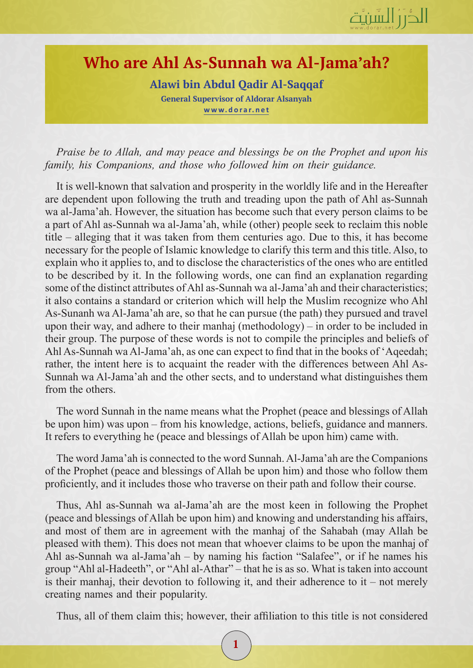

## **Who are Ahl As-Sunnah wa Al-Jama'ah?**

**Alawi bin Abdul Qadir Al-Saqqaf General Supervisor of Aldorar Alsanyah www.dorar.net**

*Praise be to Allah, and may peace and blessings be on the Prophet and upon his family, his Companions, and those who followed him on their guidance.*

It is well-known that salvation and prosperity in the worldly life and in the Hereafter are dependent upon following the truth and treading upon the path of Ahl as-Sunnah wa al-Jama'ah. However, the situation has become such that every person claims to be a part of Ahl as-Sunnah wa al-Jama'ah, while (other) people seek to reclaim this noble title – alleging that it was taken from them centuries ago. Due to this, it has become necessary for the people of Islamic knowledge to clarify this term and this title. Also, to explain who it applies to, and to disclose the characteristics of the ones who are entitled to be described by it. In the following words, one can find an explanation regarding some of the distinct attributes of Ahl as-Sunnah wa al-Jama'ah and their characteristics; it also contains a standard or criterion which will help the Muslim recognize who Ahl As-Sunanh wa Al-Jama'ah are, so that he can pursue (the path) they pursued and travel upon their way, and adhere to their manhaj (methodology) – in order to be included in their group. The purpose of these words is not to compile the principles and beliefs of Ahl As-Sunnah wa Al-Jama'ah, as one can expect to find that in the books of 'Aqeedah; rather, the intent here is to acquaint the reader with the differences between Ahl As-Sunnah wa Al-Jama'ah and the other sects, and to understand what distinguishes them from the others.

The word Sunnah in the name means what the Prophet (peace and blessings of Allah be upon him) was upon – from his knowledge, actions, beliefs, guidance and manners. It refers to everything he (peace and blessings of Allah be upon him) came with.

The word Jama'ah is connected to the word Sunnah. Al-Jama'ah are the Companions of the Prophet (peace and blessings of Allah be upon him) and those who follow them proficiently, and it includes those who traverse on their path and follow their course.

Thus, Ahl as-Sunnah wa al-Jama'ah are the most keen in following the Prophet (peace and blessings of Allah be upon him) and knowing and understanding his affairs, and most of them are in agreement with the manhaj of the Sahabah (may Allah be pleased with them). This does not mean that whoever claims to be upon the manhaj of Ahl as-Sunnah wa al-Jama'ah – by naming his faction "Salafee", or if he names his group "Ahl al-Hadeeth", or "Ahl al-Athar" – that he is as so. What is taken into account is their manhaj, their devotion to following it, and their adherence to it – not merely creating names and their popularity.

Thus, all of them claim this; however, their affiliation to this title is not considered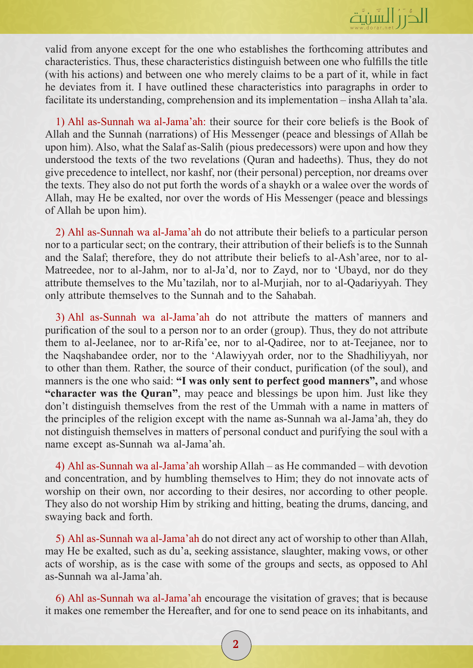

valid from anyone except for the one who establishes the forthcoming attributes and characteristics. Thus, these characteristics distinguish between one who fulfills the title (with his actions) and between one who merely claims to be a part of it, while in fact he deviates from it. I have outlined these characteristics into paragraphs in order to facilitate its understanding, comprehension and its implementation – insha Allah ta'ala.

1) Ahl as-Sunnah wa al-Jama'ah: their source for their core beliefs is the Book of Allah and the Sunnah (narrations) of His Messenger (peace and blessings of Allah be upon him). Also, what the Salaf as-Salih (pious predecessors) were upon and how they understood the texts of the two revelations (Quran and hadeeths). Thus, they do not give precedence to intellect, nor kashf, nor (their personal) perception, nor dreams over the texts. They also do not put forth the words of a shaykh or a walee over the words of Allah, may He be exalted, nor over the words of His Messenger (peace and blessings of Allah be upon him).

2) Ahl as-Sunnah wa al-Jama'ah do not attribute their beliefs to a particular person nor to a particular sect; on the contrary, their attribution of their beliefs is to the Sunnah and the Salaf; therefore, they do not attribute their beliefs to al-Ash'aree, nor to al-Matreedee, nor to al-Jahm, nor to al-Ja'd, nor to Zayd, nor to 'Ubayd, nor do they attribute themselves to the Mu'tazilah, nor to al-Murjiah, nor to al-Qadariyyah. They only attribute themselves to the Sunnah and to the Sahabah.

3) Ahl as-Sunnah wa al-Jama'ah do not attribute the matters of manners and purification of the soul to a person nor to an order (group). Thus, they do not attribute them to al-Jeelanee, nor to ar-Rifa'ee, nor to al-Qadiree, nor to at-Teejanee, nor to the Naqshabandee order, nor to the 'Alawiyyah order, nor to the Shadhiliyyah, nor to other than them. Rather, the source of their conduct, purification (of the soul), and manners is the one who said: **"I was only sent to perfect good manners",** and whose **"character was the Quran"**, may peace and blessings be upon him. Just like they don't distinguish themselves from the rest of the Ummah with a name in matters of the principles of the religion except with the name as-Sunnah wa al-Jama'ah, they do not distinguish themselves in matters of personal conduct and purifying the soul with a name except as-Sunnah wa al-Jama'ah.

4) Ahl as-Sunnah wa al-Jama'ah worship Allah – as He commanded – with devotion and concentration, and by humbling themselves to Him; they do not innovate acts of worship on their own, nor according to their desires, nor according to other people. They also do not worship Him by striking and hitting, beating the drums, dancing, and swaying back and forth.

5) Ahl as-Sunnah wa al-Jama'ah do not direct any act of worship to other than Allah, may He be exalted, such as du'a, seeking assistance, slaughter, making vows, or other acts of worship, as is the case with some of the groups and sects, as opposed to Ahl as-Sunnah wa al-Jama'ah.

6) Ahl as-Sunnah wa al-Jama'ah encourage the visitation of graves; that is because it makes one remember the Hereafter, and for one to send peace on its inhabitants, and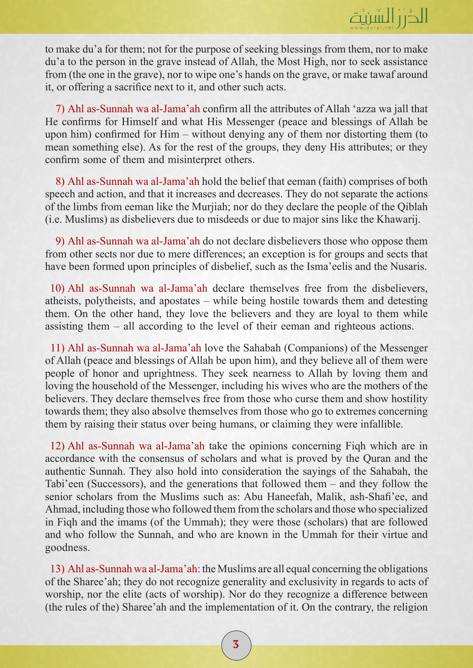

to make du'a for them; not for the purpose of seeking blessings from them, nor to make du'a to the person in the grave instead of Allah, the Most High, nor to seek assistance from (the one in the grave), nor to wipe one's hands on the grave, or make tawaf around it, or offering a sacrifice next to it, and other such acts.

7) Ahl as-Sunnah wa al-Jama'ah confirm all the attributes of Allah 'azza wa jall that He confirms for Himself and what His Messenger (peace and blessings of Allah be upon him) confirmed for Him – without denying any of them nor distorting them (to mean something else). As for the rest of the groups, they deny His attributes; or they confirm some of them and misinterpret others.

8) Ahl as-Sunnah wa al-Jama'ah hold the belief that eeman (faith) comprises of both speech and action, and that it increases and decreases. They do not separate the actions of the limbs from eeman like the Murjiah; nor do they declare the people of the Qiblah (i.e. Muslims) as disbelievers due to misdeeds or due to major sins like the Khawarij.

9) Ahl as-Sunnah wa al-Jama'ah do not declare disbelievers those who oppose them from other sects nor due to mere differences; an exception is for groups and sects that have been formed upon principles of disbelief, such as the Isma'eelis and the Nusaris.

10) Ahl as-Sunnah wa al-Jama'ah declare themselves free from the disbelievers, atheists, polytheists, and apostates – while being hostile towards them and detesting them. On the other hand, they love the believers and they are loyal to them while assisting them – all according to the level of their eeman and righteous actions.

11) Ahl as-Sunnah wa al-Jama'ah love the Sahabah (Companions) of the Messenger of Allah (peace and blessings of Allah be upon him), and they believe all of them were people of honor and uprightness. They seek nearness to Allah by loving them and loving the household of the Messenger, including his wives who are the mothers of the believers. They declare themselves free from those who curse them and show hostility towards them; they also absolve themselves from those who go to extremes concerning them by raising their status over being humans, or claiming they were infallible.

12) Ahl as-Sunnah wa al-Jama'ah take the opinions concerning Fiqh which are in accordance with the consensus of scholars and what is proved by the Quran and the authentic Sunnah. They also hold into consideration the sayings of the Sahabah, the Tabi'een (Successors), and the generations that followed them – and they follow the senior scholars from the Muslims such as: Abu Haneefah, Malik, ash-Shafi'ee, and Ahmad, including those who followed them from the scholars and those who specialized in Fiqh and the imams (of the Ummah); they were those (scholars) that are followed and who follow the Sunnah, and who are known in the Ummah for their virtue and goodness.

13) Ahl as-Sunnah wa al-Jama'ah: the Muslims are all equal concerning the obligations of the Sharee'ah; they do not recognize generality and exclusivity in regards to acts of worship, nor the elite (acts of worship). Nor do they recognize a difference between (the rules of the) Sharee'ah and the implementation of it. On the contrary, the religion